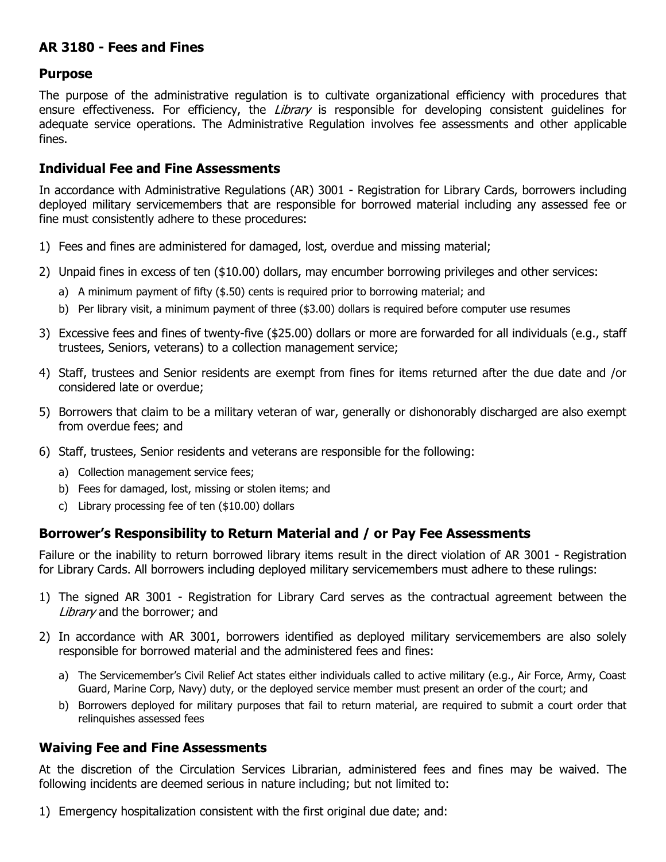## **AR 3180 - Fees and Fines**

## **Purpose**

The purpose of the administrative regulation is to cultivate organizational efficiency with procedures that ensure effectiveness. For efficiency, the Library is responsible for developing consistent quidelines for adequate service operations. The Administrative Regulation involves fee assessments and other applicable fines.

## **Individual Fee and Fine Assessments**

In accordance with Administrative Regulations (AR) 3001 - Registration for Library Cards, borrowers including deployed military servicemembers that are responsible for borrowed material including any assessed fee or fine must consistently adhere to these procedures:

- 1) Fees and fines are administered for damaged, lost, overdue and missing material;
- 2) Unpaid fines in excess of ten (\$10.00) dollars, may encumber borrowing privileges and other services:
	- a) A minimum payment of fifty (\$.50) cents is required prior to borrowing material; and
	- b) Per library visit, a minimum payment of three (\$3.00) dollars is required before computer use resumes
- 3) Excessive fees and fines of twenty-five (\$25.00) dollars or more are forwarded for all individuals (e.g., staff trustees, Seniors, veterans) to a collection management service;
- 4) Staff, trustees and Senior residents are exempt from fines for items returned after the due date and /or considered late or overdue;
- 5) Borrowers that claim to be a military veteran of war, generally or dishonorably discharged are also exempt from overdue fees; and
- 6) Staff, trustees, Senior residents and veterans are responsible for the following:
	- a) Collection management service fees;
	- b) Fees for damaged, lost, missing or stolen items; and
	- c) Library processing fee of ten (\$10.00) dollars

## **Borrower's Responsibility to Return Material and / or Pay Fee Assessments**

Failure or the inability to return borrowed library items result in the direct violation of AR 3001 - Registration for Library Cards. All borrowers including deployed military servicemembers must adhere to these rulings:

- 1) The signed AR 3001 Registration for Library Card serves as the contractual agreement between the Library and the borrower; and
- 2) In accordance with AR 3001, borrowers identified as deployed military servicemembers are also solely responsible for borrowed material and the administered fees and fines:
	- a) The Servicemember's Civil Relief Act states either individuals called to active military (e.g., Air Force, Army, Coast Guard, Marine Corp, Navy) duty, or the deployed service member must present an order of the court; and
	- b) Borrowers deployed for military purposes that fail to return material, are required to submit a court order that relinquishes assessed fees

### **Waiving Fee and Fine Assessments**

At the discretion of the Circulation Services Librarian, administered fees and fines may be waived. The following incidents are deemed serious in nature including; but not limited to:

1) Emergency hospitalization consistent with the first original due date; and: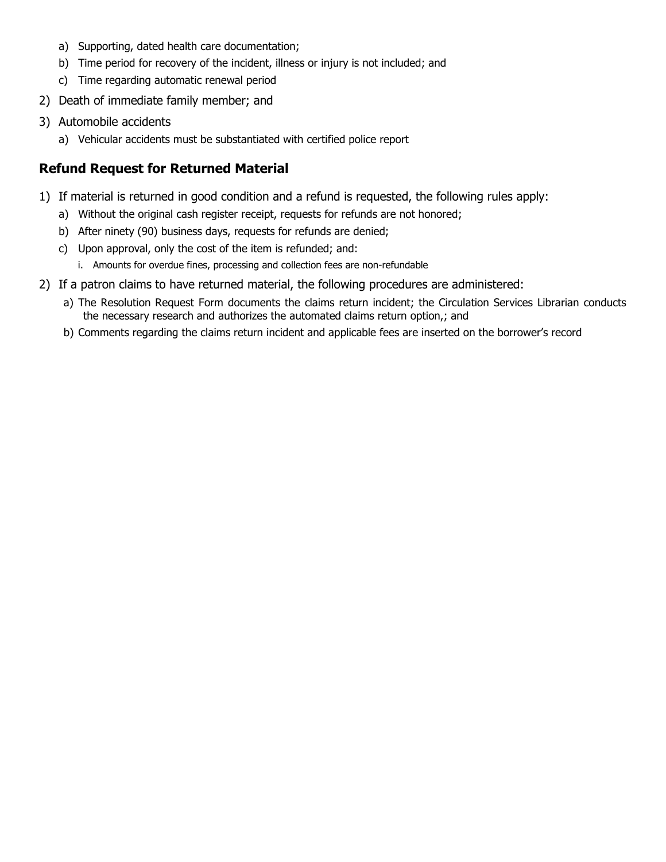- a) Supporting, dated health care documentation;
- b) Time period for recovery of the incident, illness or injury is not included; and
- c) Time regarding automatic renewal period
- 2) Death of immediate family member; and
- 3) Automobile accidents
	- a) Vehicular accidents must be substantiated with certified police report

# **Refund Request for Returned Material**

- 1) If material is returned in good condition and a refund is requested, the following rules apply:
	- a) Without the original cash register receipt, requests for refunds are not honored;
	- b) After ninety (90) business days, requests for refunds are denied;
	- c) Upon approval, only the cost of the item is refunded; and:
		- i. Amounts for overdue fines, processing and collection fees are non-refundable
- 2) If a patron claims to have returned material, the following procedures are administered:
	- a) The Resolution Request Form documents the claims return incident; the Circulation Services Librarian conducts the necessary research and authorizes the automated claims return option,; and
	- b) Comments regarding the claims return incident and applicable fees are inserted on the borrower's record